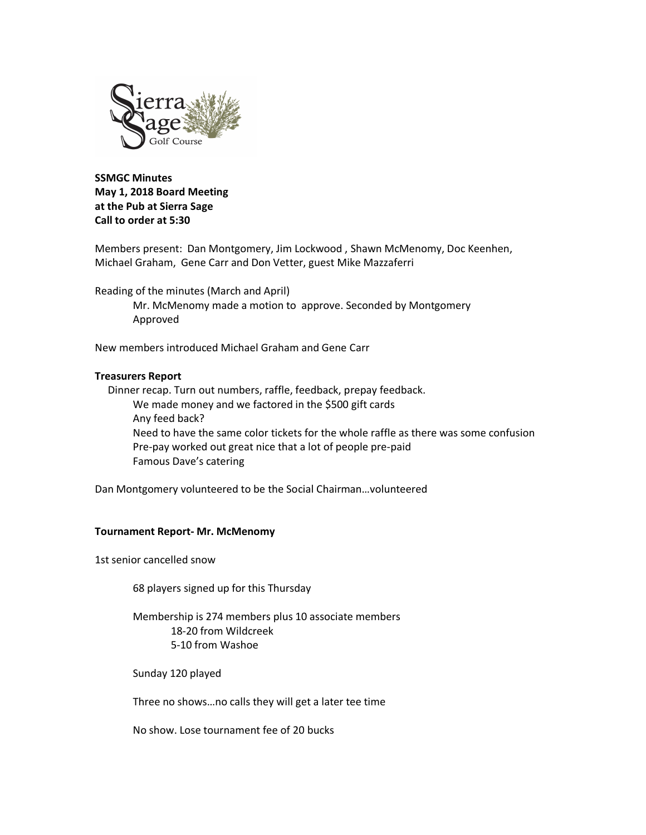

**SSMGC Minutes May 1, 2018 Board Meeting at the Pub at Sierra Sage Call to order at 5:30**

Members present: Dan Montgomery, Jim Lockwood , Shawn McMenomy, Doc Keenhen, Michael Graham, Gene Carr and Don Vetter, guest Mike Mazzaferri

Reading of the minutes (March and April)

Mr. McMenomy made a motion to approve. Seconded by Montgomery Approved

New members introduced Michael Graham and Gene Carr

## **Treasurers Report**

Dinner recap. Turn out numbers, raffle, feedback, prepay feedback. We made money and we factored in the \$500 gift cards Any feed back? Need to have the same color tickets for the whole raffle as there was some confusion Pre-pay worked out great nice that a lot of people pre-paid Famous Dave's catering

Dan Montgomery volunteered to be the Social Chairman…volunteered

## **Tournament Report- Mr. McMenomy**

1st senior cancelled snow

68 players signed up for this Thursday

Membership is 274 members plus 10 associate members 18-20 from Wildcreek 5-10 from Washoe

Sunday 120 played

Three no shows…no calls they will get a later tee time

No show. Lose tournament fee of 20 bucks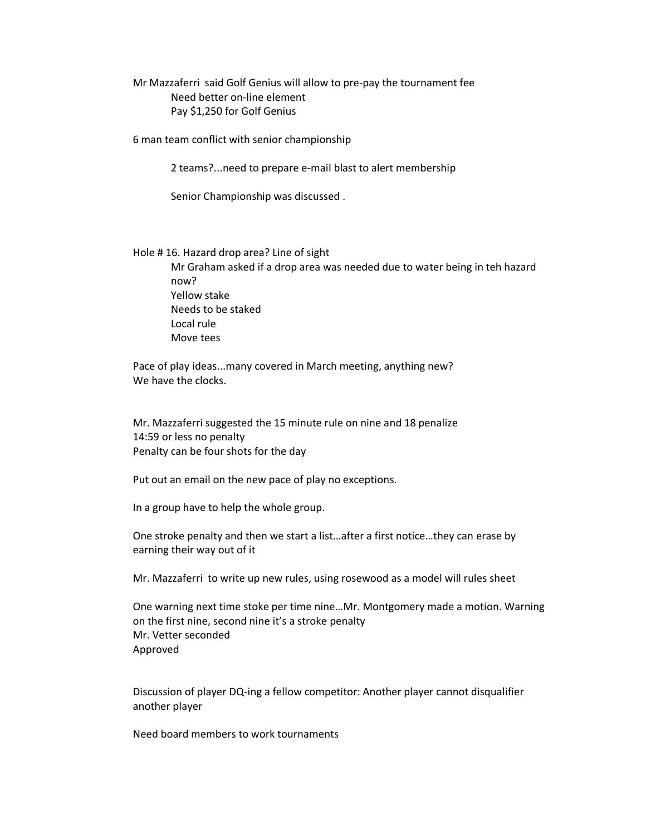Mr Mazzaferri said Golf Genius will allow to pre-pay the tournament fee Need better on-line element Pay \$1,250 for Golf Genius

6 man team conflict with senior championship

2 teams?...need to prepare e-mail blast to alert membership

Senior Championship was discussed .

Hole # 16. Hazard drop area? Line of sight

Mr Graham asked if a drop area was needed due to water being in teh hazard now? Yellow stake Needs to be staked Local rule Move tees

Pace of play ideas...many covered in March meeting, anything new? We have the clocks.

Mr. Mazzaferri suggested the 15 minute rule on nine and 18 penalize 14:59 or less no penalty Penalty can be four shots for the day

Put out an email on the new pace of play no exceptions.

In a group have to help the whole group.

One stroke penalty and then we start a list…after a first notice…they can erase by earning their way out of it

Mr. Mazzaferri to write up new rules, using rosewood as a model will rules sheet

One warning next time stoke per time nine…Mr. Montgomery made a motion. Warning on the first nine, second nine it's a stroke penalty Mr. Vetter seconded Approved

Discussion of player DQ-ing a fellow competitor: Another player cannot disqualifier another player

Need board members to work tournaments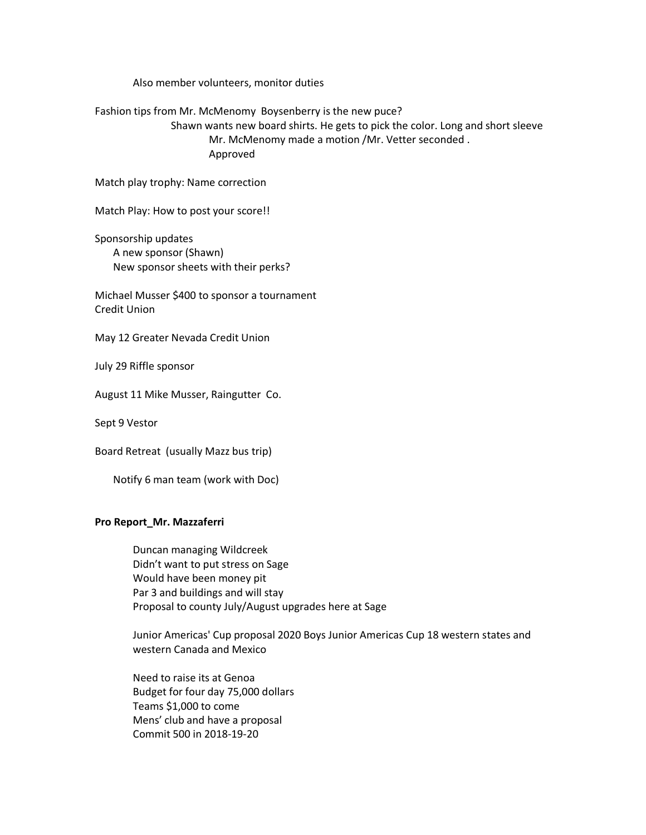Also member volunteers, monitor duties

Fashion tips from Mr. McMenomy Boysenberry is the new puce?

Shawn wants new board shirts. He gets to pick the color. Long and short sleeve Mr. McMenomy made a motion /Mr. Vetter seconded . Approved

Match play trophy: Name correction

Match Play: How to post your score!!

Sponsorship updates A new sponsor (Shawn) New sponsor sheets with their perks?

Michael Musser \$400 to sponsor a tournament Credit Union

May 12 Greater Nevada Credit Union

July 29 Riffle sponsor

August 11 Mike Musser, Raingutter Co.

Sept 9 Vestor

Board Retreat (usually Mazz bus trip)

Notify 6 man team (work with Doc)

## **Pro Report\_Mr. Mazzaferri**

Duncan managing Wildcreek Didn't want to put stress on Sage Would have been money pit Par 3 and buildings and will stay Proposal to county July/August upgrades here at Sage

Junior Americas' Cup proposal 2020 Boys Junior Americas Cup 18 western states and western Canada and Mexico

Need to raise its at Genoa Budget for four day 75,000 dollars Teams \$1,000 to come Mens' club and have a proposal Commit 500 in 2018-19-20